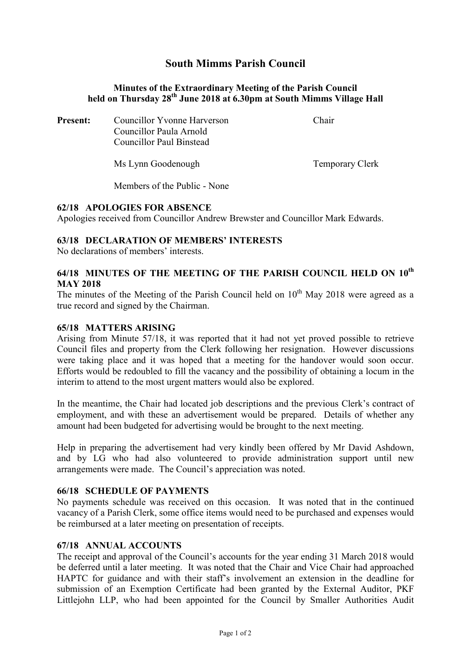# South Mimms Parish Council

### Minutes of the Extraordinary Meeting of the Parish Council held on Thursday 28<sup>th</sup> June 2018 at 6.30pm at South Mimms Village Hall

| <b>Present:</b> | Councillor Yvonne Harverson<br>Councillor Paula Arnold<br>Councillor Paul Binstead | Chair           |
|-----------------|------------------------------------------------------------------------------------|-----------------|
|                 | Ms Lynn Goodenough                                                                 | Temporary Clerk |

Members of the Public - None

### 62/18 APOLOGIES FOR ABSENCE

Apologies received from Councillor Andrew Brewster and Councillor Mark Edwards.

### 63/18 DECLARATION OF MEMBERS' INTERESTS

No declarations of members' interests.

# 64/18 MINUTES OF THE MEETING OF THE PARISH COUNCIL HELD ON 10<sup>th</sup> MAY 2018

The minutes of the Meeting of the Parish Council held on  $10<sup>th</sup>$  May 2018 were agreed as a true record and signed by the Chairman.

#### 65/18 MATTERS ARISING

Arising from Minute 57/18, it was reported that it had not yet proved possible to retrieve Council files and property from the Clerk following her resignation. However discussions were taking place and it was hoped that a meeting for the handover would soon occur. Efforts would be redoubled to fill the vacancy and the possibility of obtaining a locum in the interim to attend to the most urgent matters would also be explored.

In the meantime, the Chair had located job descriptions and the previous Clerk's contract of employment, and with these an advertisement would be prepared. Details of whether any amount had been budgeted for advertising would be brought to the next meeting.

Help in preparing the advertisement had very kindly been offered by Mr David Ashdown, and by LG who had also volunteered to provide administration support until new arrangements were made. The Council's appreciation was noted.

### 66/18 SCHEDULE OF PAYMENTS

No payments schedule was received on this occasion. It was noted that in the continued vacancy of a Parish Clerk, some office items would need to be purchased and expenses would be reimbursed at a later meeting on presentation of receipts.

### 67/18 ANNUAL ACCOUNTS

The receipt and approval of the Council's accounts for the year ending 31 March 2018 would be deferred until a later meeting. It was noted that the Chair and Vice Chair had approached HAPTC for guidance and with their staff's involvement an extension in the deadline for submission of an Exemption Certificate had been granted by the External Auditor, PKF Littlejohn LLP, who had been appointed for the Council by Smaller Authorities Audit